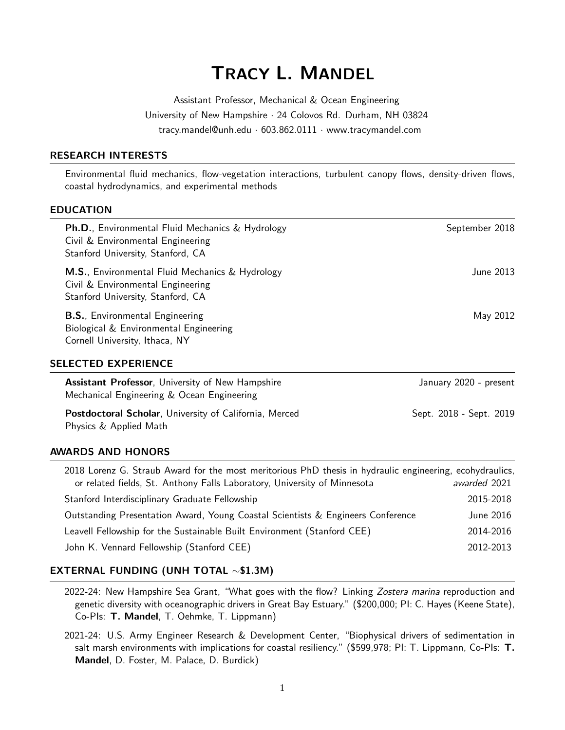# TRACY L. MANDEL

Assistant Professor, Mechanical & Ocean Engineering University of New Hampshire · 24 Colovos Rd. Durham, NH 03824 tracy.mandel@unh.edu · 603.862.0111 · www.tracymandel.com

## RESEARCH INTERESTS

Environmental fluid mechanics, flow-vegetation interactions, turbulent canopy flows, density-driven flows, coastal hydrodynamics, and experimental methods

#### EDUCATION

| <b>Ph.D., Environmental Fluid Mechanics &amp; Hydrology</b><br>Civil & Environmental Engineering<br>Stanford University, Stanford, CA | September 2018          |
|---------------------------------------------------------------------------------------------------------------------------------------|-------------------------|
| <b>M.S., Environmental Fluid Mechanics &amp; Hydrology</b><br>Civil & Environmental Engineering<br>Stanford University, Stanford, CA  | June 2013               |
| <b>B.S., Environmental Engineering</b><br>Biological & Environmental Engineering<br>Cornell University, Ithaca, NY                    | May 2012                |
| SELECTED EXPERIENCE                                                                                                                   |                         |
| <b>Assistant Professor, University of New Hampshire</b><br>Mechanical Engineering & Ocean Engineering                                 | January 2020 - present  |
| Postdoctoral Scholar, University of California, Merced<br>Physics & Applied Math                                                      | Sept. 2018 - Sept. 2019 |

## AWARDS AND HONORS

| 2018 Lorenz G. Straub Award for the most meritorious PhD thesis in hydraulic engineering, ecohydraulics, |              |
|----------------------------------------------------------------------------------------------------------|--------------|
| or related fields, St. Anthony Falls Laboratory, University of Minnesota                                 | awarded 2021 |
| Stanford Interdisciplinary Graduate Fellowship                                                           | 2015-2018    |
| Outstanding Presentation Award, Young Coastal Scientists & Engineers Conference                          | June 2016    |
| Leavell Fellowship for the Sustainable Built Environment (Stanford CEE)                                  | 2014-2016    |
| John K. Vennard Fellowship (Stanford CEE)                                                                | 2012-2013    |

## EXTERNAL FUNDING (UNH TOTAL ∼\$1.3M)

- 2022-24: New Hampshire Sea Grant, "What goes with the flow? Linking Zostera marina reproduction and genetic diversity with oceanographic drivers in Great Bay Estuary." (\$200,000; PI: C. Hayes (Keene State), Co-PIs: T. Mandel, T. Oehmke, T. Lippmann)
- 2021-24: U.S. Army Engineer Research & Development Center, "Biophysical drivers of sedimentation in salt marsh environments with implications for coastal resiliency." (\$599,978; PI: T. Lippmann, Co-Pls: T. Mandel, D. Foster, M. Palace, D. Burdick)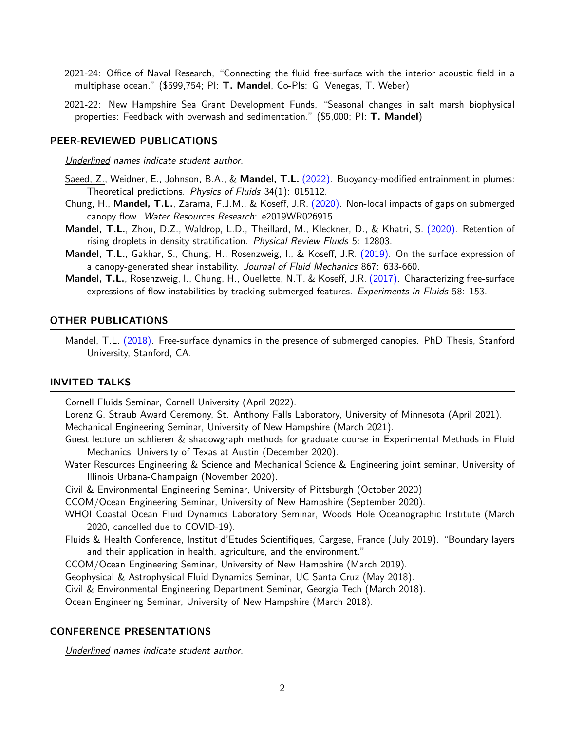- 2021-24: Office of Naval Research, "Connecting the fluid free-surface with the interior acoustic field in a multiphase ocean." (\$599,754; PI: T. Mandel, Co-Pls: G. Venegas, T. Weber)
- 2021-22: New Hampshire Sea Grant Development Funds, "Seasonal changes in salt marsh biophysical properties: Feedback with overwash and sedimentation." (\$5,000; PI: T. Mandel)

#### PEER-REVIEWED PUBLICATIONS

Underlined names indicate student author.

- Saeed, Z., Weidner, E., Johnson, B.A., & Mandel, T.L. [\(2022\).](https://doi.org/10.1063/5.0065265) Buoyancy-modified entrainment in plumes: Theoretical predictions. Physics of Fluids 34(1): 015112.
- Chung, H., Mandel, T.L., Zarama, F.J.M., & Koseff, J.R. [\(2020\).](http://doi.org/10.1029/2019WR026915) Non-local impacts of gaps on submerged canopy flow. Water Resources Research: e2019WR026915.
- Mandel, T.L., Zhou, D.Z., Waldrop, L.D., Theillard, M., Kleckner, D., & Khatri, S. [\(2020\).](https://doi.org/10.1103/PhysRevFluids.5.124803) Retention of rising droplets in density stratification. Physical Review Fluids 5: 12803.
- Mandel, T.L., Gakhar, S., Chung, H., Rosenzweig, I., & Koseff, J.R. [\(2019\).](https://doi.org/10.1017/jfm.2019.170) On the surface expression of a canopy-generated shear instability. Journal of Fluid Mechanics 867: 633-660.
- Mandel, T.L., Rosenzweig, I., Chung, H., Ouellette, N.T. & Koseff, J.R. [\(2017\).](https://doi.org/10.1007/s00348-017-2435-6) Characterizing free-surface expressions of flow instabilities by tracking submerged features. Experiments in Fluids 58: 153.

#### OTHER PUBLICATIONS

Mandel, T.L. [\(2018\).](https://searchworks.stanford.edu/view/12741583) Free-surface dynamics in the presence of submerged canopies. PhD Thesis, Stanford University, Stanford, CA.

## INVITED TALKS

Cornell Fluids Seminar, Cornell University (April 2022).

Lorenz G. Straub Award Ceremony, St. Anthony Falls Laboratory, University of Minnesota (April 2021). Mechanical Engineering Seminar, University of New Hampshire (March 2021).

- Guest lecture on schlieren & shadowgraph methods for graduate course in Experimental Methods in Fluid Mechanics, University of Texas at Austin (December 2020).
- Water Resources Engineering & Science and Mechanical Science & Engineering joint seminar, University of Illinois Urbana-Champaign (November 2020).
- Civil & Environmental Engineering Seminar, University of Pittsburgh (October 2020)
- CCOM/Ocean Engineering Seminar, University of New Hampshire (September 2020).
- WHOI Coastal Ocean Fluid Dynamics Laboratory Seminar, Woods Hole Oceanographic Institute (March 2020, cancelled due to COVID-19).
- Fluids & Health Conference, Institut d'Etudes Scientifiques, Cargese, France (July 2019). "Boundary layers and their application in health, agriculture, and the environment."
- CCOM/Ocean Engineering Seminar, University of New Hampshire (March 2019).

Geophysical & Astrophysical Fluid Dynamics Seminar, UC Santa Cruz (May 2018).

Civil & Environmental Engineering Department Seminar, Georgia Tech (March 2018).

Ocean Engineering Seminar, University of New Hampshire (March 2018).

#### CONFERENCE PRESENTATIONS

Underlined names indicate student author.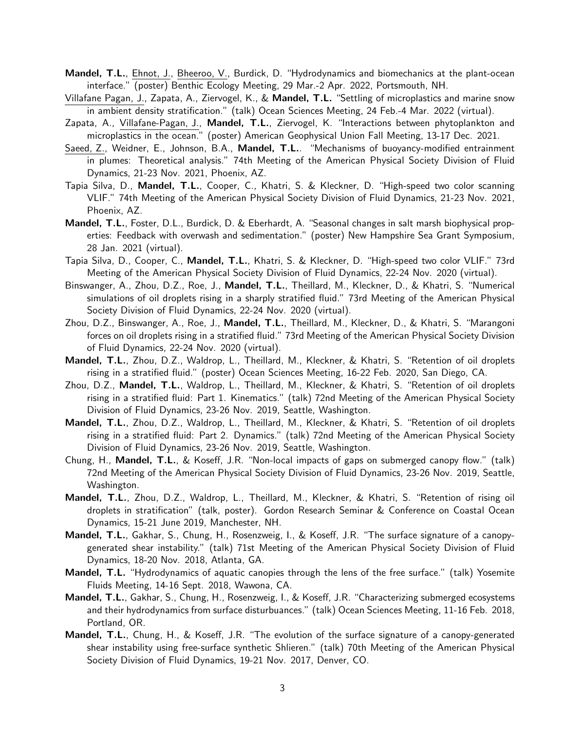- Mandel, T.L., Ehnot, J., Bheeroo, V., Burdick, D. "Hydrodynamics and biomechanics at the plant-ocean interface." (poster) Benthic Ecology Meeting, 29 Mar.-2 Apr. 2022, Portsmouth, NH.
- Villafane Pagan, J., Zapata, A., Ziervogel, K., & Mandel, T.L. "Settling of microplastics and marine snow in ambient density stratification." (talk) Ocean Sciences Meeting, 24 Feb.-4 Mar. 2022 (virtual).
- Zapata, A., Villafane-Pagan, J., Mandel, T.L., Ziervogel, K. "Interactions between phytoplankton and microplastics in the ocean." (poster) American Geophysical Union Fall Meeting, 13-17 Dec. 2021.
- Saeed, Z., Weidner, E., Johnson, B.A., Mandel, T.L.. "Mechanisms of buoyancy-modified entrainment in plumes: Theoretical analysis." 74th Meeting of the American Physical Society Division of Fluid Dynamics, 21-23 Nov. 2021, Phoenix, AZ.
- Tapia Silva, D., Mandel, T.L., Cooper, C., Khatri, S. & Kleckner, D. "High-speed two color scanning VLIF." 74th Meeting of the American Physical Society Division of Fluid Dynamics, 21-23 Nov. 2021, Phoenix, AZ.
- Mandel, T.L., Foster, D.L., Burdick, D. & Eberhardt, A. "Seasonal changes in salt marsh biophysical properties: Feedback with overwash and sedimentation." (poster) New Hampshire Sea Grant Symposium, 28 Jan. 2021 (virtual).
- Tapia Silva, D., Cooper, C., Mandel, T.L., Khatri, S. & Kleckner, D. "High-speed two color VLIF." 73rd Meeting of the American Physical Society Division of Fluid Dynamics, 22-24 Nov. 2020 (virtual).
- Binswanger, A., Zhou, D.Z., Roe, J., Mandel, T.L., Theillard, M., Kleckner, D., & Khatri, S. "Numerical simulations of oil droplets rising in a sharply stratified fluid." 73rd Meeting of the American Physical Society Division of Fluid Dynamics, 22-24 Nov. 2020 (virtual).
- Zhou, D.Z., Binswanger, A., Roe, J., Mandel, T.L., Theillard, M., Kleckner, D., & Khatri, S. "Marangoni forces on oil droplets rising in a stratified fluid." 73rd Meeting of the American Physical Society Division of Fluid Dynamics, 22-24 Nov. 2020 (virtual).
- Mandel, T.L., Zhou, D.Z., Waldrop, L., Theillard, M., Kleckner, & Khatri, S. "Retention of oil droplets rising in a stratified fluid." (poster) Ocean Sciences Meeting, 16-22 Feb. 2020, San Diego, CA.
- Zhou, D.Z., Mandel, T.L., Waldrop, L., Theillard, M., Kleckner, & Khatri, S. "Retention of oil droplets rising in a stratified fluid: Part 1. Kinematics." (talk) 72nd Meeting of the American Physical Society Division of Fluid Dynamics, 23-26 Nov. 2019, Seattle, Washington.
- Mandel, T.L., Zhou, D.Z., Waldrop, L., Theillard, M., Kleckner, & Khatri, S. "Retention of oil droplets rising in a stratified fluid: Part 2. Dynamics." (talk) 72nd Meeting of the American Physical Society Division of Fluid Dynamics, 23-26 Nov. 2019, Seattle, Washington.
- Chung, H., Mandel, T.L., & Koseff, J.R. "Non-local impacts of gaps on submerged canopy flow." (talk) 72nd Meeting of the American Physical Society Division of Fluid Dynamics, 23-26 Nov. 2019, Seattle, Washington.
- Mandel, T.L., Zhou, D.Z., Waldrop, L., Theillard, M., Kleckner, & Khatri, S. "Retention of rising oil droplets in stratification" (talk, poster). Gordon Research Seminar & Conference on Coastal Ocean Dynamics, 15-21 June 2019, Manchester, NH.
- Mandel, T.L., Gakhar, S., Chung, H., Rosenzweig, I., & Koseff, J.R. "The surface signature of a canopygenerated shear instability." (talk) 71st Meeting of the American Physical Society Division of Fluid Dynamics, 18-20 Nov. 2018, Atlanta, GA.
- Mandel, T.L. "Hydrodynamics of aquatic canopies through the lens of the free surface." (talk) Yosemite Fluids Meeting, 14-16 Sept. 2018, Wawona, CA.
- Mandel, T.L., Gakhar, S., Chung, H., Rosenzweig, I., & Koseff, J.R. "Characterizing submerged ecosystems and their hydrodynamics from surface disturbuances." (talk) Ocean Sciences Meeting, 11-16 Feb. 2018, Portland, OR.
- Mandel, T.L., Chung, H., & Koseff, J.R. "The evolution of the surface signature of a canopy-generated shear instability using free-surface synthetic Shlieren." (talk) 70th Meeting of the American Physical Society Division of Fluid Dynamics, 19-21 Nov. 2017, Denver, CO.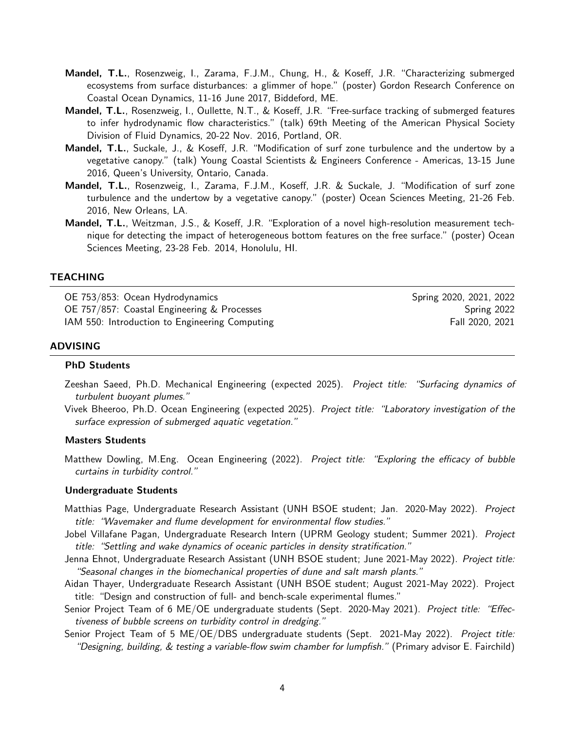- Mandel, T.L., Rosenzweig, I., Zarama, F.J.M., Chung, H., & Koseff, J.R. "Characterizing submerged ecosystems from surface disturbances: a glimmer of hope." (poster) Gordon Research Conference on Coastal Ocean Dynamics, 11-16 June 2017, Biddeford, ME.
- Mandel, T.L., Rosenzweig, I., Oullette, N.T., & Koseff, J.R. "Free-surface tracking of submerged features to infer hydrodynamic flow characteristics." (talk) 69th Meeting of the American Physical Society Division of Fluid Dynamics, 20-22 Nov. 2016, Portland, OR.
- Mandel, T.L., Suckale, J., & Koseff, J.R. "Modification of surf zone turbulence and the undertow by a vegetative canopy." (talk) Young Coastal Scientists & Engineers Conference - Americas, 13-15 June 2016, Queen's University, Ontario, Canada.
- Mandel, T.L., Rosenzweig, I., Zarama, F.J.M., Koseff, J.R. & Suckale, J. "Modification of surf zone turbulence and the undertow by a vegetative canopy." (poster) Ocean Sciences Meeting, 21-26 Feb. 2016, New Orleans, LA.
- Mandel, T.L., Weitzman, J.S., & Koseff, J.R. "Exploration of a novel high-resolution measurement technique for detecting the impact of heterogeneous bottom features on the free surface." (poster) Ocean Sciences Meeting, 23-28 Feb. 2014, Honolulu, HI.

#### TEACHING

OE 753/853: Ocean Hydrodynamics **Spring 2020, 2021, 2022** Spring 2020, 2021, 2022 OE 757/857: Coastal Engineering & Processes Spring 2022 IAM 550: Introduction to Engineering Computing Fall 2020, 2021

#### ADVISING

#### PhD Students

- Zeeshan Saeed, Ph.D. Mechanical Engineering (expected 2025). Project title: "Surfacing dynamics of turbulent buoyant plumes."
- Vivek Bheeroo, Ph.D. Ocean Engineering (expected 2025). Project title: "Laboratory investigation of the surface expression of submerged aquatic vegetation."

#### Masters Students

Matthew Dowling, M.Eng. Ocean Engineering (2022). Project title: "Exploring the efficacy of bubble curtains in turbidity control."

#### Undergraduate Students

- Matthias Page, Undergraduate Research Assistant (UNH BSOE student; Jan. 2020-May 2022). Project title: "Wavemaker and flume development for environmental flow studies."
- Jobel Villafane Pagan, Undergraduate Research Intern (UPRM Geology student; Summer 2021). Project title: "Settling and wake dynamics of oceanic particles in density stratification."
- Jenna Ehnot, Undergraduate Research Assistant (UNH BSOE student; June 2021-May 2022). Project title: "Seasonal changes in the biomechanical properties of dune and salt marsh plants."
- Aidan Thayer, Undergraduate Research Assistant (UNH BSOE student; August 2021-May 2022). Project title: "Design and construction of full- and bench-scale experimental flumes."
- Senior Project Team of 6 ME/OE undergraduate students (Sept. 2020-May 2021). Project title: "Effectiveness of bubble screens on turbidity control in dredging."
- Senior Project Team of 5 ME/OE/DBS undergraduate students (Sept. 2021-May 2022). Project title: "Designing, building, & testing a variable-flow swim chamber for lumpfish." (Primary advisor E. Fairchild)